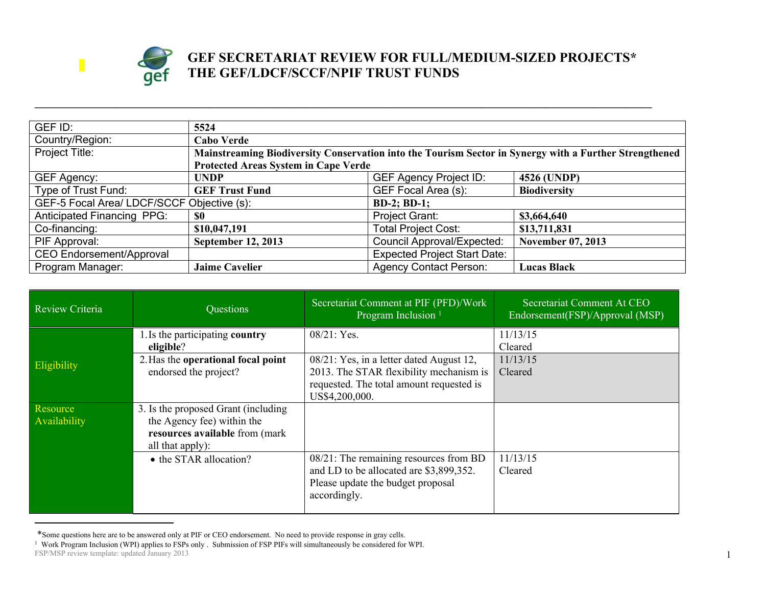

## **GEF SECRETARIAT REVIEW FOR FULL/MEDIUM-SIZED PROJECTS\* THE GEF/LDCF/SCCF/NPIF TRUST FUNDS**

| GEF ID:                                                          | 5524                                                                                                   |                                     |                          |
|------------------------------------------------------------------|--------------------------------------------------------------------------------------------------------|-------------------------------------|--------------------------|
| Country/Region:                                                  | <b>Cabo Verde</b>                                                                                      |                                     |                          |
| Project Title:                                                   | Mainstreaming Biodiversity Conservation into the Tourism Sector in Synergy with a Further Strengthened |                                     |                          |
|                                                                  | <b>Protected Areas System in Cape Verde</b>                                                            |                                     |                          |
| GEF Agency:                                                      | <b>UNDP</b>                                                                                            | <b>GEF Agency Project ID:</b>       | 4526 (UNDP)              |
| Type of Trust Fund:                                              | <b>GEF Trust Fund</b>                                                                                  | GEF Focal Area (s):                 | <b>Biodiversity</b>      |
| GEF-5 Focal Area/ LDCF/SCCF Objective (s):<br><b>BD-2; BD-1;</b> |                                                                                                        |                                     |                          |
| Anticipated Financing PPG:                                       | \$0                                                                                                    | Project Grant:                      | \$3,664,640              |
| Co-financing:                                                    | \$10,047,191                                                                                           | <b>Total Project Cost:</b>          | \$13,711,831             |
| PIF Approval:                                                    | <b>September 12, 2013</b>                                                                              | <b>Council Approval/Expected:</b>   | <b>November 07, 2013</b> |
| <b>CEO Endorsement/Approval</b>                                  |                                                                                                        | <b>Expected Project Start Date:</b> |                          |
| Program Manager:                                                 | <b>Jaime Cavelier</b>                                                                                  | <b>Agency Contact Person:</b>       | <b>Lucas Black</b>       |

**\_\_\_\_\_\_\_\_\_\_\_\_\_\_\_\_\_\_\_\_\_\_\_\_\_\_\_\_\_\_\_\_\_\_\_\_\_\_\_\_\_\_\_\_\_\_\_\_\_\_\_\_\_\_\_\_\_\_\_\_\_\_\_\_\_\_\_\_\_\_\_\_\_\_\_\_\_\_\_\_\_\_\_\_\_\_\_\_\_\_\_\_\_\_\_\_\_\_\_\_\_\_\_\_\_\_\_\_\_\_\_\_\_\_\_\_**

| Review Criteria          | Questions                                                                                                                | Secretariat Comment at PIF (PFD)/Work<br>Program Inclusion <sup>1</sup>                                                                              | Secretariat Comment At CEO<br>Endorsement(FSP)/Approval (MSP) |
|--------------------------|--------------------------------------------------------------------------------------------------------------------------|------------------------------------------------------------------------------------------------------------------------------------------------------|---------------------------------------------------------------|
|                          | 1. Is the participating country<br>eligible?                                                                             | $08/21$ : Yes.                                                                                                                                       | 11/13/15<br>Cleared                                           |
| Eligibility              | 2. Has the operational focal point<br>endorsed the project?                                                              | 08/21: Yes, in a letter dated August 12,<br>2013. The STAR flexibility mechanism is<br>requested. The total amount requested is<br>US\$4,200,000.    | 11/13/15<br>Cleared                                           |
| Resource<br>Availability | 3. Is the proposed Grant (including)<br>the Agency fee) within the<br>resources available from (mark<br>all that apply): |                                                                                                                                                      |                                                               |
|                          | • the STAR allocation?                                                                                                   | $\overline{08/21}$ : The remaining resources from BD<br>and LD to be allocated are \$3,899,352.<br>Please update the budget proposal<br>accordingly. | 11/13/15<br>Cleared                                           |

<sup>\*</sup>Some questions here are to be answered only at PIF or CEO endorsement. No need to provide response in gray cells.

FSP/MSP review template: updated January 2013 1 Work Program Inclusion (WPI) applies to FSPs only . Submission of FSP PIFs will simultaneously be considered for WPI.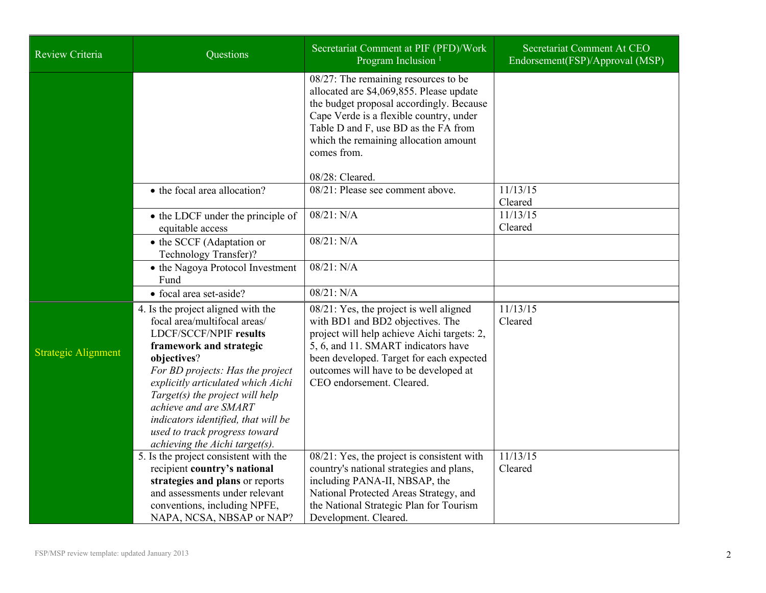| <b>Review Criteria</b>     | Questions                                                                                                                                                                                                                                                                                                                                                                              | Secretariat Comment at PIF (PFD)/Work<br>Program Inclusion <sup>1</sup>                                                                                                                                                                                                             | Secretariat Comment At CEO<br>Endorsement(FSP)/Approval (MSP) |
|----------------------------|----------------------------------------------------------------------------------------------------------------------------------------------------------------------------------------------------------------------------------------------------------------------------------------------------------------------------------------------------------------------------------------|-------------------------------------------------------------------------------------------------------------------------------------------------------------------------------------------------------------------------------------------------------------------------------------|---------------------------------------------------------------|
|                            |                                                                                                                                                                                                                                                                                                                                                                                        | $08/27$ : The remaining resources to be<br>allocated are \$4,069,855. Please update<br>the budget proposal accordingly. Because<br>Cape Verde is a flexible country, under<br>Table D and F, use BD as the FA from<br>which the remaining allocation amount<br>comes from.          |                                                               |
|                            |                                                                                                                                                                                                                                                                                                                                                                                        | 08/28: Cleared.                                                                                                                                                                                                                                                                     |                                                               |
|                            | • the focal area allocation?                                                                                                                                                                                                                                                                                                                                                           | 08/21: Please see comment above.                                                                                                                                                                                                                                                    | 11/13/15<br>Cleared                                           |
|                            | • the LDCF under the principle of<br>equitable access                                                                                                                                                                                                                                                                                                                                  | 08/21: N/A                                                                                                                                                                                                                                                                          | 11/13/15<br>Cleared                                           |
|                            | • the SCCF (Adaptation or<br>Technology Transfer)?                                                                                                                                                                                                                                                                                                                                     | 08/21: N/A                                                                                                                                                                                                                                                                          |                                                               |
|                            | • the Nagoya Protocol Investment<br>Fund                                                                                                                                                                                                                                                                                                                                               | 08/21: N/A                                                                                                                                                                                                                                                                          |                                                               |
|                            | • focal area set-aside?                                                                                                                                                                                                                                                                                                                                                                | 08/21: N/A                                                                                                                                                                                                                                                                          |                                                               |
| <b>Strategic Alignment</b> | 4. Is the project aligned with the<br>focal area/multifocal areas/<br>LDCF/SCCF/NPIF results<br>framework and strategic<br>objectives?<br>For BD projects: Has the project<br>explicitly articulated which Aichi<br>Target(s) the project will help<br>achieve and are SMART<br>indicators identified, that will be<br>used to track progress toward<br>achieving the Aichi target(s). | 08/21: Yes, the project is well aligned<br>with BD1 and BD2 objectives. The<br>project will help achieve Aichi targets: 2,<br>5, 6, and 11. SMART indicators have<br>been developed. Target for each expected<br>outcomes will have to be developed at<br>CEO endorsement. Cleared. | 11/13/15<br>Cleared                                           |
|                            | 5. Is the project consistent with the<br>recipient country's national<br>strategies and plans or reports<br>and assessments under relevant<br>conventions, including NPFE,<br>NAPA, NCSA, NBSAP or NAP?                                                                                                                                                                                | $08/21$ : Yes, the project is consistent with<br>country's national strategies and plans,<br>including PANA-II, NBSAP, the<br>National Protected Areas Strategy, and<br>the National Strategic Plan for Tourism<br>Development. Cleared.                                            | 11/13/15<br>Cleared                                           |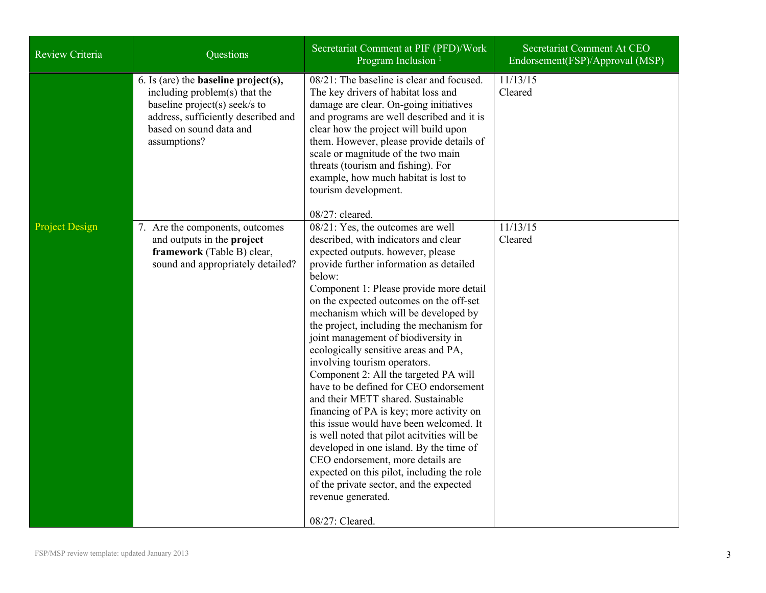| Review Criteria       | Questions                                                                                                                                                                                          | Secretariat Comment at PIF (PFD)/Work<br>Program Inclusion <sup>1</sup>                                                                                                                                                                                                                                                                                                                                                                                                                                                                                                                                                                                                                                                                                                                                                                                                                                                                       | Secretariat Comment At CEO<br>Endorsement(FSP)/Approval (MSP) |
|-----------------------|----------------------------------------------------------------------------------------------------------------------------------------------------------------------------------------------------|-----------------------------------------------------------------------------------------------------------------------------------------------------------------------------------------------------------------------------------------------------------------------------------------------------------------------------------------------------------------------------------------------------------------------------------------------------------------------------------------------------------------------------------------------------------------------------------------------------------------------------------------------------------------------------------------------------------------------------------------------------------------------------------------------------------------------------------------------------------------------------------------------------------------------------------------------|---------------------------------------------------------------|
|                       | 6. Is (are) the <b>baseline</b> $project(s)$ ,<br>including problem(s) that the<br>baseline project(s) seek/s to<br>address, sufficiently described and<br>based on sound data and<br>assumptions? | 08/21: The baseline is clear and focused.<br>The key drivers of habitat loss and<br>damage are clear. On-going initiatives<br>and programs are well described and it is<br>clear how the project will build upon<br>them. However, please provide details of<br>scale or magnitude of the two main<br>threats (tourism and fishing). For<br>example, how much habitat is lost to<br>tourism development.<br>08/27: cleared.                                                                                                                                                                                                                                                                                                                                                                                                                                                                                                                   | 11/13/15<br>Cleared                                           |
| <b>Project Design</b> | 7. Are the components, outcomes<br>and outputs in the project<br>framework (Table B) clear,<br>sound and appropriately detailed?                                                                   | 08/21: Yes, the outcomes are well<br>described, with indicators and clear<br>expected outputs. however, please<br>provide further information as detailed<br>below:<br>Component 1: Please provide more detail<br>on the expected outcomes on the off-set<br>mechanism which will be developed by<br>the project, including the mechanism for<br>joint management of biodiversity in<br>ecologically sensitive areas and PA,<br>involving tourism operators.<br>Component 2: All the targeted PA will<br>have to be defined for CEO endorsement<br>and their METT shared. Sustainable<br>financing of PA is key; more activity on<br>this issue would have been welcomed. It<br>is well noted that pilot acityities will be<br>developed in one island. By the time of<br>CEO endorsement, more details are<br>expected on this pilot, including the role<br>of the private sector, and the expected<br>revenue generated.<br>08/27: Cleared. | 11/13/15<br>Cleared                                           |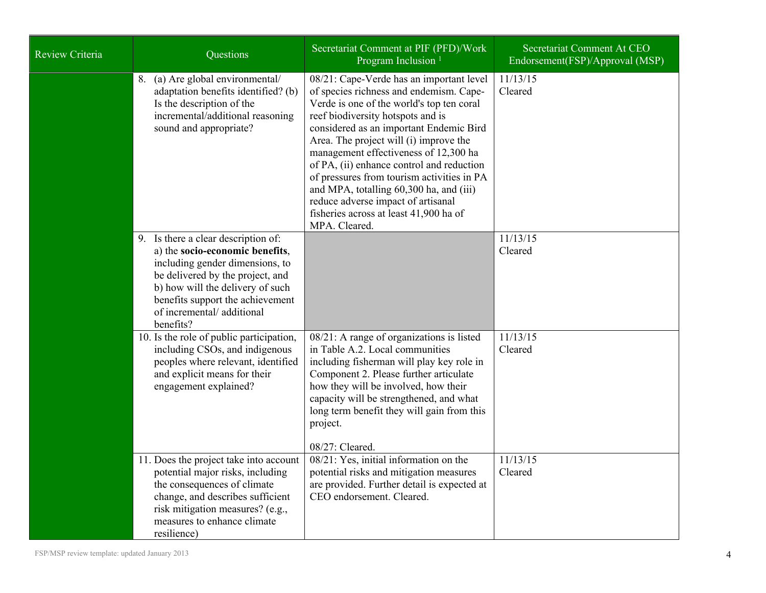| <b>Review Criteria</b> | Questions                                                                                                                                                                                                                                                       | Secretariat Comment at PIF (PFD)/Work<br>Program Inclusion <sup>1</sup>                                                                                                                                                                                                                                                                                                                                                                                                                                                                    | Secretariat Comment At CEO<br>Endorsement(FSP)/Approval (MSP) |
|------------------------|-----------------------------------------------------------------------------------------------------------------------------------------------------------------------------------------------------------------------------------------------------------------|--------------------------------------------------------------------------------------------------------------------------------------------------------------------------------------------------------------------------------------------------------------------------------------------------------------------------------------------------------------------------------------------------------------------------------------------------------------------------------------------------------------------------------------------|---------------------------------------------------------------|
|                        | 8. (a) Are global environmental/<br>adaptation benefits identified? (b)<br>Is the description of the<br>incremental/additional reasoning<br>sound and appropriate?                                                                                              | 08/21: Cape-Verde has an important level<br>of species richness and endemism. Cape-<br>Verde is one of the world's top ten coral<br>reef biodiversity hotspots and is<br>considered as an important Endemic Bird<br>Area. The project will (i) improve the<br>management effectiveness of 12,300 ha<br>of PA, (ii) enhance control and reduction<br>of pressures from tourism activities in PA<br>and MPA, totalling 60,300 ha, and (iii)<br>reduce adverse impact of artisanal<br>fisheries across at least 41,900 ha of<br>MPA. Cleared. | 11/13/15<br>Cleared                                           |
|                        | 9. Is there a clear description of:<br>a) the socio-economic benefits,<br>including gender dimensions, to<br>be delivered by the project, and<br>b) how will the delivery of such<br>benefits support the achievement<br>of incremental/additional<br>benefits? |                                                                                                                                                                                                                                                                                                                                                                                                                                                                                                                                            | 11/13/15<br>Cleared                                           |
|                        | 10. Is the role of public participation,<br>including CSOs, and indigenous<br>peoples where relevant, identified<br>and explicit means for their<br>engagement explained?                                                                                       | 08/21: A range of organizations is listed<br>in Table A.2. Local communities<br>including fisherman will play key role in<br>Component 2. Please further articulate<br>how they will be involved, how their<br>capacity will be strengthened, and what<br>long term benefit they will gain from this<br>project.<br>08/27: Cleared.                                                                                                                                                                                                        | 11/13/15<br>Cleared                                           |
|                        | 11. Does the project take into account<br>potential major risks, including<br>the consequences of climate<br>change, and describes sufficient<br>risk mitigation measures? (e.g.,<br>measures to enhance climate<br>resilience)                                 | 08/21: Yes, initial information on the<br>potential risks and mitigation measures<br>are provided. Further detail is expected at<br>CEO endorsement. Cleared.                                                                                                                                                                                                                                                                                                                                                                              | 11/13/15<br>Cleared                                           |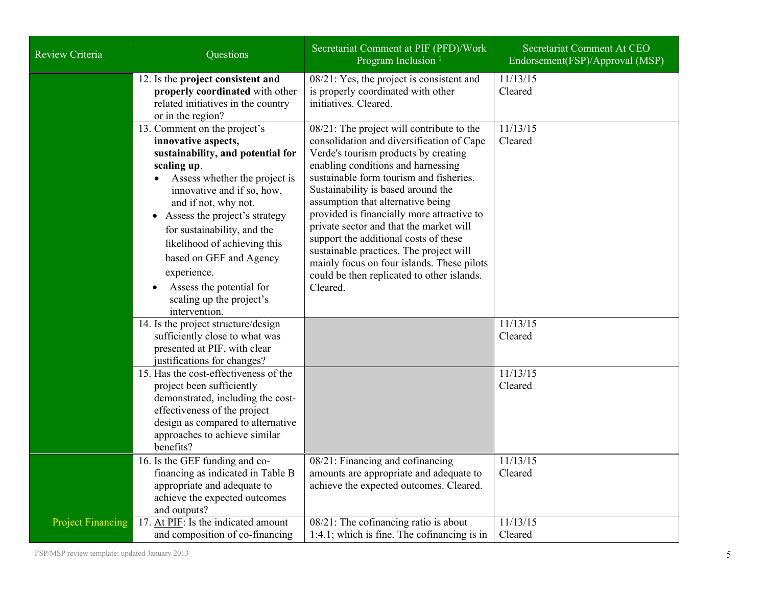| Review Criteria          | Questions                                                                                                                                                                                                                                                                                                                                                                                                           | Secretariat Comment at PIF (PFD)/Work<br>Program Inclusion <sup>1</sup>                                                                                                                                                                                                                                                                                                                                                                                                                                                                                                         | Secretariat Comment At CEO<br>Endorsement(FSP)/Approval (MSP) |
|--------------------------|---------------------------------------------------------------------------------------------------------------------------------------------------------------------------------------------------------------------------------------------------------------------------------------------------------------------------------------------------------------------------------------------------------------------|---------------------------------------------------------------------------------------------------------------------------------------------------------------------------------------------------------------------------------------------------------------------------------------------------------------------------------------------------------------------------------------------------------------------------------------------------------------------------------------------------------------------------------------------------------------------------------|---------------------------------------------------------------|
|                          | 12. Is the project consistent and<br>properly coordinated with other<br>related initiatives in the country<br>or in the region?                                                                                                                                                                                                                                                                                     | 08/21: Yes, the project is consistent and<br>is properly coordinated with other<br>initiatives. Cleared.                                                                                                                                                                                                                                                                                                                                                                                                                                                                        | 11/13/15<br>Cleared                                           |
|                          | 13. Comment on the project's<br>innovative aspects,<br>sustainability, and potential for<br>scaling up.<br>Assess whether the project is<br>innovative and if so, how,<br>and if not, why not.<br>• Assess the project's strategy<br>for sustainability, and the<br>likelihood of achieving this<br>based on GEF and Agency<br>experience.<br>Assess the potential for<br>scaling up the project's<br>intervention. | 08/21: The project will contribute to the<br>consolidation and diversification of Cape<br>Verde's tourism products by creating<br>enabling conditions and harnessing<br>sustainable form tourism and fisheries.<br>Sustainability is based around the<br>assumption that alternative being<br>provided is financially more attractive to<br>private sector and that the market will<br>support the additional costs of these<br>sustainable practices. The project will<br>mainly focus on four islands. These pilots<br>could be then replicated to other islands.<br>Cleared. | 11/13/15<br>Cleared                                           |
|                          | 14. Is the project structure/design<br>sufficiently close to what was<br>presented at PIF, with clear<br>justifications for changes?                                                                                                                                                                                                                                                                                |                                                                                                                                                                                                                                                                                                                                                                                                                                                                                                                                                                                 | 11/13/15<br>Cleared                                           |
|                          | 15. Has the cost-effectiveness of the<br>project been sufficiently<br>demonstrated, including the cost-<br>effectiveness of the project<br>design as compared to alternative<br>approaches to achieve similar<br>benefits?                                                                                                                                                                                          |                                                                                                                                                                                                                                                                                                                                                                                                                                                                                                                                                                                 | 11/13/15<br>Cleared                                           |
|                          | 16. Is the GEF funding and co-<br>financing as indicated in Table B<br>appropriate and adequate to<br>achieve the expected outcomes<br>and outputs?                                                                                                                                                                                                                                                                 | 08/21: Financing and cofinancing<br>amounts are appropriate and adequate to<br>achieve the expected outcomes. Cleared.                                                                                                                                                                                                                                                                                                                                                                                                                                                          | 11/13/15<br>Cleared                                           |
| <b>Project Financing</b> | 17. At PIF: Is the indicated amount<br>and composition of co-financing                                                                                                                                                                                                                                                                                                                                              | 08/21: The cofinancing ratio is about<br>$1:4.1$ ; which is fine. The cofinancing is in                                                                                                                                                                                                                                                                                                                                                                                                                                                                                         | 11/13/15<br>Cleared                                           |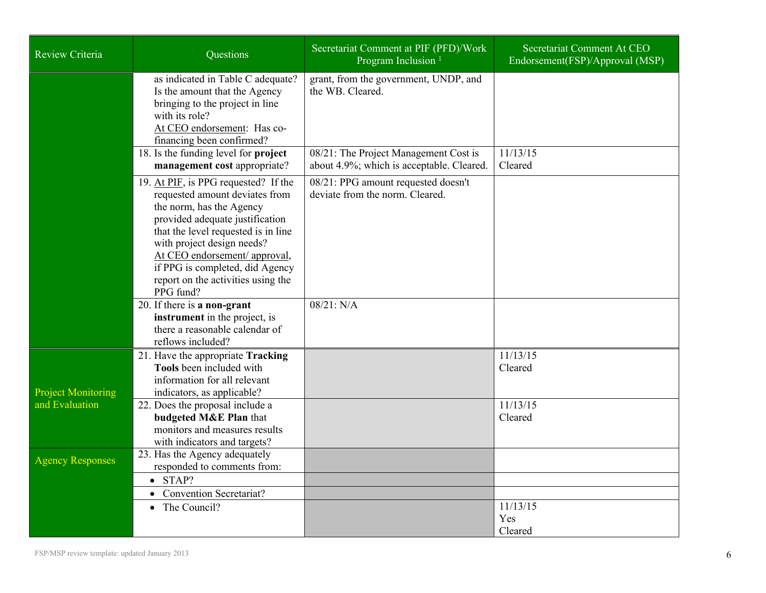| <b>Review Criteria</b>    | Questions                                                                                                                                                                                                                                                                                                                         | Secretariat Comment at PIF (PFD)/Work<br>Program Inclusion <sup>1</sup>            | Secretariat Comment At CEO<br>Endorsement(FSP)/Approval (MSP) |
|---------------------------|-----------------------------------------------------------------------------------------------------------------------------------------------------------------------------------------------------------------------------------------------------------------------------------------------------------------------------------|------------------------------------------------------------------------------------|---------------------------------------------------------------|
|                           | as indicated in Table C adequate?<br>Is the amount that the Agency<br>bringing to the project in line<br>with its role?<br>At CEO endorsement: Has co-<br>financing been confirmed?                                                                                                                                               | grant, from the government, UNDP, and<br>the WB. Cleared.                          |                                                               |
|                           | 18. Is the funding level for project<br>management cost appropriate?                                                                                                                                                                                                                                                              | 08/21: The Project Management Cost is<br>about 4.9%; which is acceptable. Cleared. | 11/13/15<br>Cleared                                           |
|                           | 19. At PIF, is PPG requested? If the<br>requested amount deviates from<br>the norm, has the Agency<br>provided adequate justification<br>that the level requested is in line<br>with project design needs?<br>At CEO endorsement/ approval,<br>if PPG is completed, did Agency<br>report on the activities using the<br>PPG fund? | 08/21: PPG amount requested doesn't<br>deviate from the norm. Cleared.             |                                                               |
|                           | 20. If there is a non-grant<br>instrument in the project, is<br>there a reasonable calendar of<br>reflows included?                                                                                                                                                                                                               | 08/21: N/A                                                                         |                                                               |
| <b>Project Monitoring</b> | 21. Have the appropriate Tracking<br><b>Tools</b> been included with<br>information for all relevant<br>indicators, as applicable?                                                                                                                                                                                                |                                                                                    | 11/13/15<br>Cleared                                           |
| and Evaluation            | 22. Does the proposal include a<br>budgeted M&E Plan that<br>monitors and measures results<br>with indicators and targets?                                                                                                                                                                                                        |                                                                                    | 11/13/15<br>Cleared                                           |
| <b>Agency Responses</b>   | 23. Has the Agency adequately<br>responded to comments from:<br>$\bullet$ STAP?                                                                                                                                                                                                                                                   |                                                                                    |                                                               |
|                           | • Convention Secretariat?                                                                                                                                                                                                                                                                                                         |                                                                                    |                                                               |
|                           | • The Council?                                                                                                                                                                                                                                                                                                                    |                                                                                    | 11/13/15<br>Yes<br>Cleared                                    |